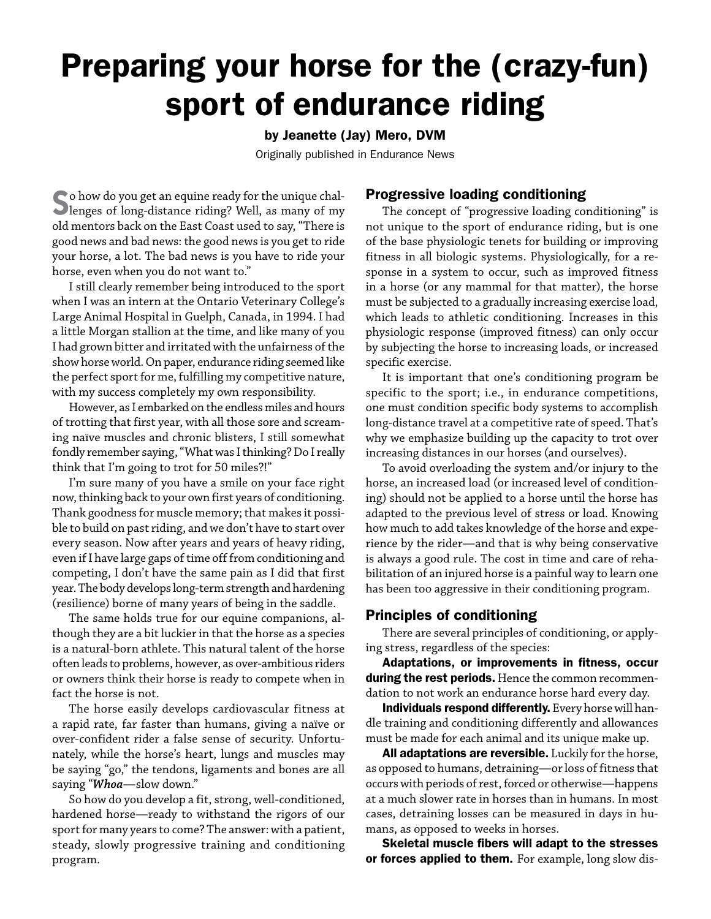# Preparing your horse for the (crazy-fun) sport of endurance riding

# by Jeanette (Jay) Mero, DVM

Originally published in Endurance News

So how do you get an equine ready for the unique chal-lenges of long-distance riding? Well, as many of my old mentors back on the East Coast used to say, "There is good news and bad news: the good news is you get to ride your horse, a lot. The bad news is you have to ride your horse, even when you do not want to."

I still clearly remember being introduced to the sport when I was an intern at the Ontario Veterinary College's Large Animal Hospital in Guelph, Canada, in 1994. I had a little Morgan stallion at the time, and like many of you I had grown bitter and irritated with the unfairness of the show horse world. On paper, endurance riding seemed like the perfect sport for me, fulfilling my competitive nature, with my success completely my own responsibility.

However, as I embarked on the endless miles and hours of trotting that first year, with all those sore and screaming naïve muscles and chronic blisters, I still somewhat fondly remember saying, "What was I thinking? Do I really think that I'm going to trot for 50 miles?!"

I'm sure many of you have a smile on your face right now, thinking back to your own first years of conditioning. Thank goodness for muscle memory; that makes it possible to build on past riding, and we don't have to start over every season. Now after years and years of heavy riding, even if I have large gaps of time off from conditioning and competing, I don't have the same pain as I did that first year. The body develops long-term strength and hardening (resilience) borne of many years of being in the saddle.

The same holds true for our equine companions, although they are a bit luckier in that the horse as a species is a natural-born athlete. This natural talent of the horse often leads to problems, however, as over-ambitious riders or owners think their horse is ready to compete when in fact the horse is not.

The horse easily develops cardiovascular fitness at a rapid rate, far faster than humans, giving a naïve or over-confident rider a false sense of security. Unfortunately, while the horse's heart, lungs and muscles may be saying "go," the tendons, ligaments and bones are all saying "*Whoa*—slow down."

So how do you develop a fit, strong, well-conditioned, hardened horse—ready to withstand the rigors of our sport for many years to come? The answer: with a patient, steady, slowly progressive training and conditioning program.

# Progressive loading conditioning

The concept of "progressive loading conditioning" is not unique to the sport of endurance riding, but is one of the base physiologic tenets for building or improving fitness in all biologic systems. Physiologically, for a response in a system to occur, such as improved fitness in a horse (or any mammal for that matter), the horse must be subjected to a gradually increasing exercise load, which leads to athletic conditioning. Increases in this physiologic response (improved fitness) can only occur by subjecting the horse to increasing loads, or increased specific exercise.

It is important that one's conditioning program be specific to the sport; i.e., in endurance competitions, one must condition specific body systems to accomplish long-distance travel at a competitive rate of speed. That's why we emphasize building up the capacity to trot over increasing distances in our horses (and ourselves).

To avoid overloading the system and/or injury to the horse, an increased load (or increased level of conditioning) should not be applied to a horse until the horse has adapted to the previous level of stress or load. Knowing how much to add takes knowledge of the horse and experience by the rider—and that is why being conservative is always a good rule. The cost in time and care of rehabilitation of an injured horse is a painful way to learn one has been too aggressive in their conditioning program.

# Principles of conditioning

There are several principles of conditioning, or applying stress, regardless of the species:

Adaptations, or improvements in fitness, occur during the rest periods. Hence the common recommendation to not work an endurance horse hard every day.

Individuals respond differently. Every horse will handle training and conditioning differently and allowances must be made for each animal and its unique make up.

All adaptations are reversible. Luckily for the horse, as opposed to humans, detraining—or loss of fitness that occurs with periods of rest, forced or otherwise—happens at a much slower rate in horses than in humans. In most cases, detraining losses can be measured in days in humans, as opposed to weeks in horses.

Skeletal muscle fibers will adapt to the stresses or forces applied to them. For example, long slow dis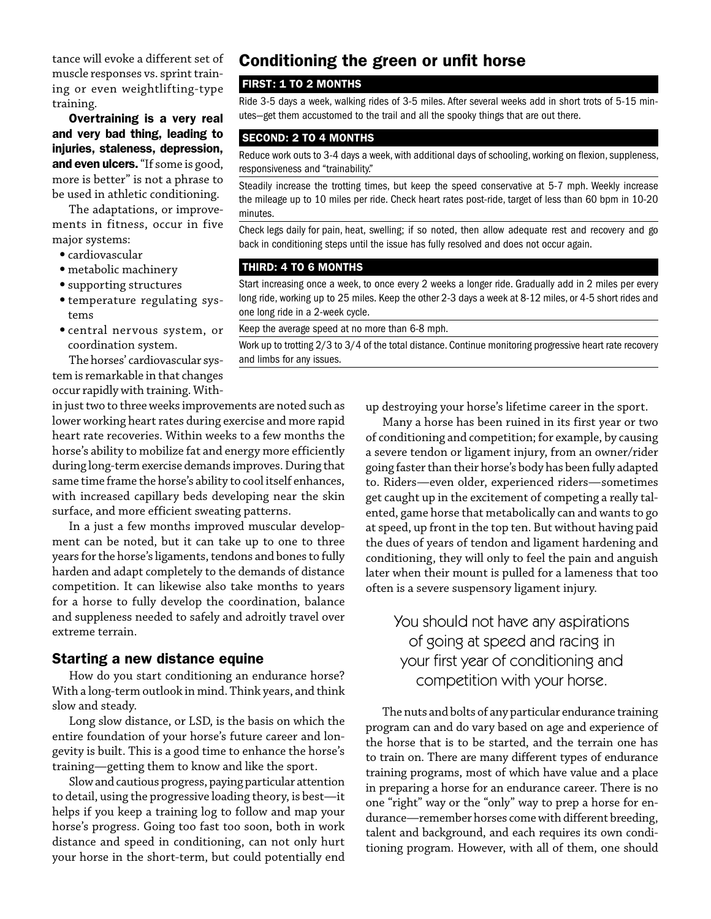tance will evoke a different set of muscle responses vs. sprint training or even weightlifting-type training.

Overtraining is a very real and very bad thing, leading to injuries, staleness, depression, and even ulcers. "If some is good, more is better" is not a phrase to be used in athletic conditioning.

The adaptations, or improvements in fitness, occur in five major systems:

- •cardiovascular
- •metabolic machinery
- •supporting structures
- •temperature regulating systems
- •central nervous system, or coordination system.

The horses' cardiovascular system is remarkable in that changes occur rapidly with training. With-

# in just two to three weeks improvements are noted such as lower working heart rates during exercise and more rapid heart rate recoveries. Within weeks to a few months the horse's ability to mobilize fat and energy more efficiently during long-term exercise demands improves. During that same time frame the horse's ability to cool itself enhances,

with increased capillary beds developing near the skin surface, and more efficient sweating patterns. In a just a few months improved muscular develop-

ment can be noted, but it can take up to one to three years for the horse's ligaments, tendons and bones to fully harden and adapt completely to the demands of distance competition. It can likewise also take months to years for a horse to fully develop the coordination, balance and suppleness needed to safely and adroitly travel over extreme terrain.

# Starting a new distance equine

How do you start conditioning an endurance horse? With a long-term outlook in mind. Think years, and think slow and steady.

Long slow distance, or LSD, is the basis on which the entire foundation of your horse's future career and longevity is built. This is a good time to enhance the horse's training—getting them to know and like the sport.

Slow and cautious progress, paying particular attention to detail, using the progressive loading theory, is best—it helps if you keep a training log to follow and map your horse's progress. Going too fast too soon, both in work distance and speed in conditioning, can not only hurt your horse in the short-term, but could potentially end

# Conditioning the green or unfit horse

# FIRST: 1 TO 2 MONTHS

Ride 3-5 days a week, walking rides of 3-5 miles. After several weeks add in short trots of 5-15 minutes—get them accustomed to the trail and all the spooky things that are out there.

#### SECOND: 2 TO 4 MONTHS

Reduce work outs to 3-4 days a week, with additional days of schooling, working on flexion, suppleness, responsiveness and "trainability."

Steadily increase the trotting times, but keep the speed conservative at 5-7 mph. Weekly increase the mileage up to 10 miles per ride. Check heart rates post-ride, target of less than 60 bpm in 10-20 minutes.

Check legs daily for pain, heat, swelling; if so noted, then allow adequate rest and recovery and go back in conditioning steps until the issue has fully resolved and does not occur again.

#### THIRD: 4 TO 6 MONTHS

Start increasing once a week, to once every 2 weeks a longer ride. Gradually add in 2 miles per every long ride, working up to 25 miles. Keep the other 2-3 days a week at 8-12 miles, or 4-5 short rides and one long ride in a 2-week cycle.

Keep the average speed at no more than 6-8 mph.

Work up to trotting 2/3 to 3/4 of the total distance. Continue monitoring progressive heart rate recovery and limbs for any issues.

up destroying your horse's lifetime career in the sport.

Many a horse has been ruined in its first year or two of conditioning and competition; for example, by causing a severe tendon or ligament injury, from an owner/rider going faster than their horse's body has been fully adapted to. Riders—even older, experienced riders—sometimes get caught up in the excitement of competing a really talented, game horse that metabolically can and wants to go at speed, up front in the top ten. But without having paid the dues of years of tendon and ligament hardening and conditioning, they will only to feel the pain and anguish later when their mount is pulled for a lameness that too often is a severe suspensory ligament injury.

# You should not have any aspirations of going at speed and racing in your first year of conditioning and competition with your horse.

The nuts and bolts of any particular endurance training program can and do vary based on age and experience of the horse that is to be started, and the terrain one has to train on. There are many different types of endurance training programs, most of which have value and a place in preparing a horse for an endurance career. There is no one "right" way or the "only" way to prep a horse for endurance—remember horses come with different breeding, talent and background, and each requires its own conditioning program. However, with all of them, one should